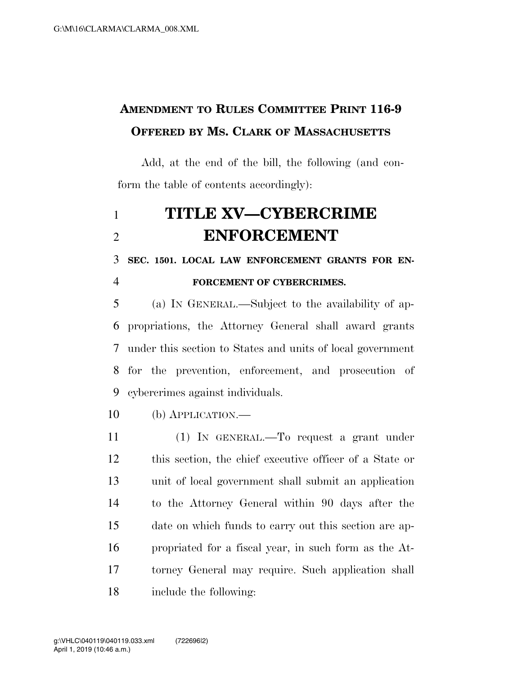## **AMENDMENT TO RULES COMMITTEE PRINT 116-9 OFFERED BY MS. CLARK OF MASSACHUSETTS**

Add, at the end of the bill, the following (and conform the table of contents accordingly):

## **TITLE XV—CYBERCRIME ENFORCEMENT**

 **SEC. 1501. LOCAL LAW ENFORCEMENT GRANTS FOR EN-FORCEMENT OF CYBERCRIMES.** 

 (a) IN GENERAL.—Subject to the availability of ap- propriations, the Attorney General shall award grants under this section to States and units of local government for the prevention, enforcement, and prosecution of cybercrimes against individuals.

(b) APPLICATION.—

 (1) IN GENERAL.—To request a grant under this section, the chief executive officer of a State or unit of local government shall submit an application to the Attorney General within 90 days after the date on which funds to carry out this section are ap- propriated for a fiscal year, in such form as the At- torney General may require. Such application shall include the following: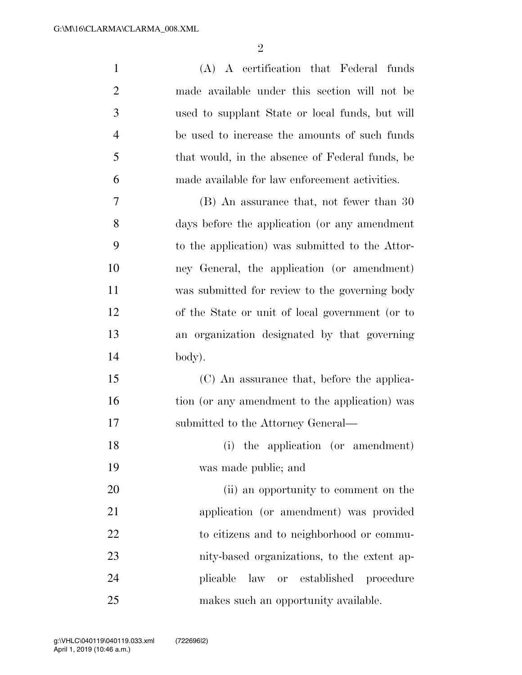| $\mathbf{1}$   | (A) A certification that Federal funds          |
|----------------|-------------------------------------------------|
| $\overline{2}$ | made available under this section will not be   |
| 3              | used to supplant State or local funds, but will |
| $\overline{4}$ | be used to increase the amounts of such funds   |
| 5              | that would, in the absence of Federal funds, be |
| 6              | made available for law enforcement activities.  |
| 7              | (B) An assurance that, not fewer than 30        |
| 8              | days before the application (or any amendment   |
| 9              | to the application) was submitted to the Attor- |
| 10             | ney General, the application (or amendment)     |
| 11             | was submitted for review to the governing body  |
| 12             | of the State or unit of local government (or to |
| 13             | an organization designated by that governing    |
| 14             | body).                                          |
| 15             | (C) An assurance that, before the applica-      |
| 16             | tion (or any amendment to the application) was  |
| 17             | submitted to the Attorney General—              |
| 18             | (i) the application (or amendment)              |
| 19             | was made public; and                            |
| 20             | (ii) an opportunity to comment on the           |
| 21             | application (or amendment) was provided         |
| 22             | to citizens and to neighborhood or commu-       |
| 23             | nity-based organizations, to the extent ap-     |
| 24             | or established<br>plicable<br>law<br>procedure  |
| 25             | makes such an opportunity available.            |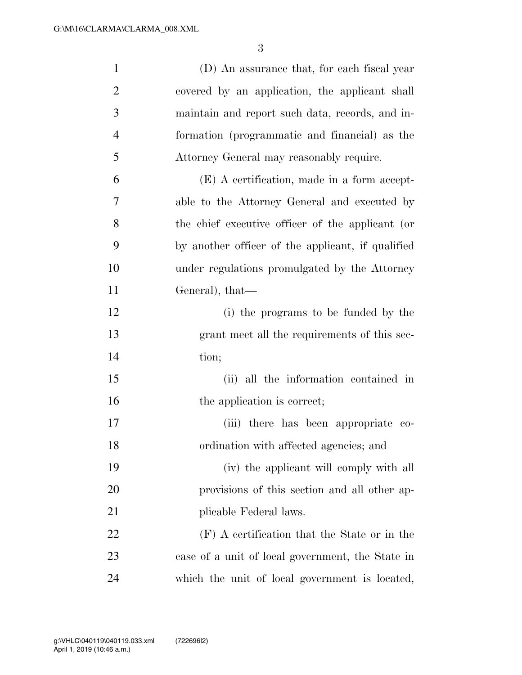| $\mathbf{1}$   | (D) An assurance that, for each fiscal year       |
|----------------|---------------------------------------------------|
| $\overline{2}$ | covered by an application, the applicant shall    |
| 3              | maintain and report such data, records, and in-   |
| $\overline{4}$ | formation (programmatic and financial) as the     |
| 5              | Attorney General may reasonably require.          |
| 6              | (E) A certification, made in a form accept-       |
| 7              | able to the Attorney General and executed by      |
| 8              | the chief executive officer of the applicant (or  |
| 9              | by another officer of the applicant, if qualified |
| 10             | under regulations promulgated by the Attorney     |
| 11             | General), that-                                   |
| 12             | (i) the programs to be funded by the              |
| 13             | grant meet all the requirements of this sec-      |
| 14             | tion;                                             |
| 15             | (ii) all the information contained in             |
| 16             | the application is correct;                       |
| 17             | (iii) there has been appropriate co-              |
| 18             | ordination with affected agencies; and            |
| 19             | (iv) the applicant will comply with all           |
| 20             | provisions of this section and all other ap-      |
| 21             | plicable Federal laws.                            |
| 22             | (F) A certification that the State or in the      |
| 23             | case of a unit of local government, the State in  |
| 24             | which the unit of local government is located,    |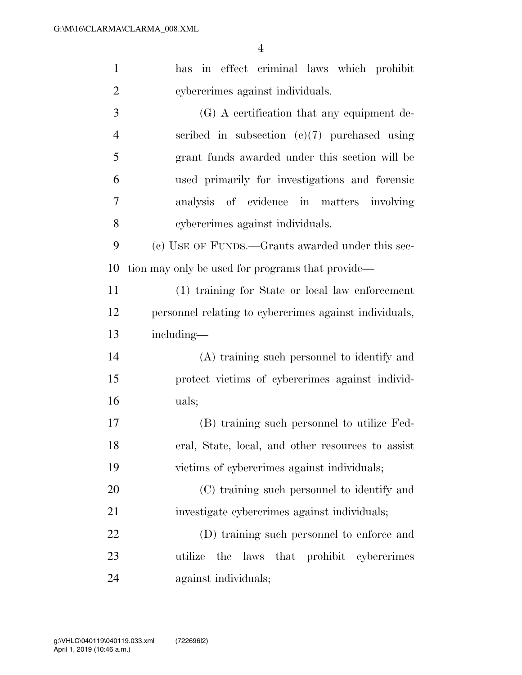| $\mathbf{1}$   | in effect criminal laws which prohibit<br>has          |
|----------------|--------------------------------------------------------|
| $\overline{2}$ | cybercrimes against individuals.                       |
| 3              | $(G)$ A certification that any equipment de-           |
| $\overline{4}$ | scribed in subsection $(c)(7)$ purchased using         |
| 5              | grant funds awarded under this section will be         |
| 6              | used primarily for investigations and forensic         |
| 7              | analysis of evidence in matters involving              |
| 8              | cybercrimes against individuals.                       |
| 9              | (c) USE OF FUNDS.—Grants awarded under this sec-       |
| 10             | tion may only be used for programs that provide—       |
| 11             | (1) training for State or local law enforcement        |
| 12             | personnel relating to cybercrimes against individuals, |
| 13             | including—                                             |
| 14             | (A) training such personnel to identify and            |
| 15             | protect victims of cybercrimes against individ-        |
| 16             | uals;                                                  |
| 17             | (B) training such personnel to utilize Fed-            |
| 18             | eral, State, local, and other resources to assist      |
| 19             | victims of cybercrimes against individuals;            |
| 20             | (C) training such personnel to identify and            |
| 21             | investigate cybercrimes against individuals;           |
| 22             | (D) training such personnel to enforce and             |
| 23             | laws that prohibit cybercrimes<br>utilize<br>the       |
| 24             | against individuals;                                   |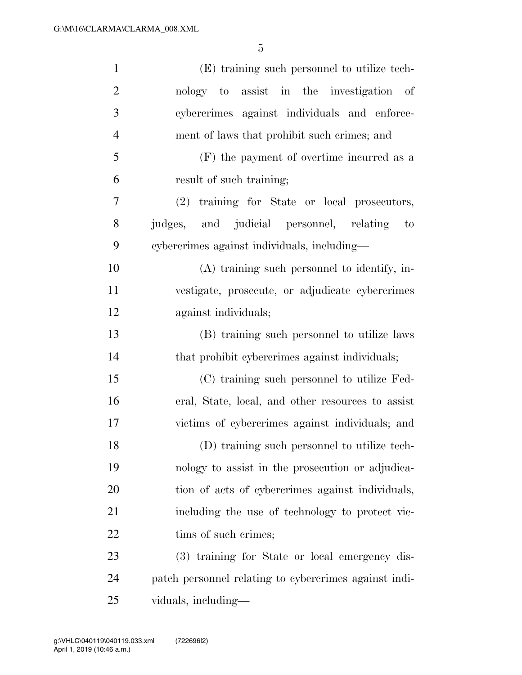| $\mathbf{1}$   | (E) training such personnel to utilize tech-            |
|----------------|---------------------------------------------------------|
| $\overline{2}$ | nology to assist in the investigation of                |
| 3              | cybercrimes against individuals and enforce-            |
| $\overline{4}$ | ment of laws that prohibit such crimes; and             |
| 5              | (F) the payment of overtime incurred as a               |
| 6              | result of such training;                                |
| 7              | (2) training for State or local prosecutors,            |
| 8              | judges, and judicial personnel, relating<br>$\qquad$ to |
| 9              | cybercrimes against individuals, including-             |
| 10             | (A) training such personnel to identify, in-            |
| 11             | vestigate, prosecute, or adjudicate cybercrimes         |
| 12             | against individuals;                                    |
| 13             | (B) training such personnel to utilize laws             |
| 14             | that prohibit cybercrimes against individuals;          |
| 15             | (C) training such personnel to utilize Fed-             |
| 16             | eral, State, local, and other resources to assist       |
| 17             | victims of cybercrimes against individuals; and         |
| 18             | (D) training such personnel to utilize tech-            |
| 19             | nology to assist in the prosecution or adjudica-        |
| 20             | tion of acts of cybercrimes against individuals,        |
| 21             | including the use of technology to protect vic-         |
| 22             | tims of such crimes;                                    |
| 23             | (3) training for State or local emergency dis-          |
| 24             | patch personnel relating to cybercrimes against indi-   |
| 25             | viduals, including—                                     |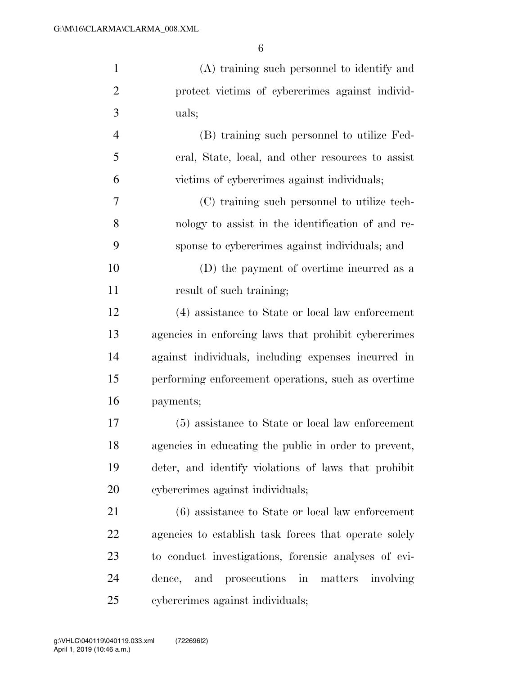| $\mathbf{1}$   | (A) training such personnel to identify and           |
|----------------|-------------------------------------------------------|
| $\overline{2}$ | protect victims of cybercrimes against individ-       |
| 3              | uals;                                                 |
| $\overline{4}$ | (B) training such personnel to utilize Fed-           |
| 5              | eral, State, local, and other resources to assist     |
| 6              | victims of cybercrimes against individuals;           |
| 7              | (C) training such personnel to utilize tech-          |
| 8              | nology to assist in the identification of and re-     |
| 9              | sponse to cybercrimes against individuals; and        |
| 10             | (D) the payment of overtime incurred as a             |
| 11             | result of such training;                              |
| 12             | (4) assistance to State or local law enforcement      |
| 13             | agencies in enforcing laws that prohibit cybercrimes  |
| 14             | against individuals, including expenses incurred in   |
| 15             | performing enforcement operations, such as overtime   |
| 16             | payments;                                             |
| 17             | (5) assistance to State or local law enforcement      |
| 18             | agencies in educating the public in order to prevent, |
| 19             | deter, and identify violations of laws that prohibit  |
| 20             | cybercrimes against individuals;                      |
| 21             | $(6)$ assistance to State or local law enforcement    |
| 22             | agencies to establish task forces that operate solely |
| 23             | to conduct investigations, forensic analyses of evi-  |
| 24             | dence, and prosecutions in matters involving          |
| 25             | cybercrimes against individuals;                      |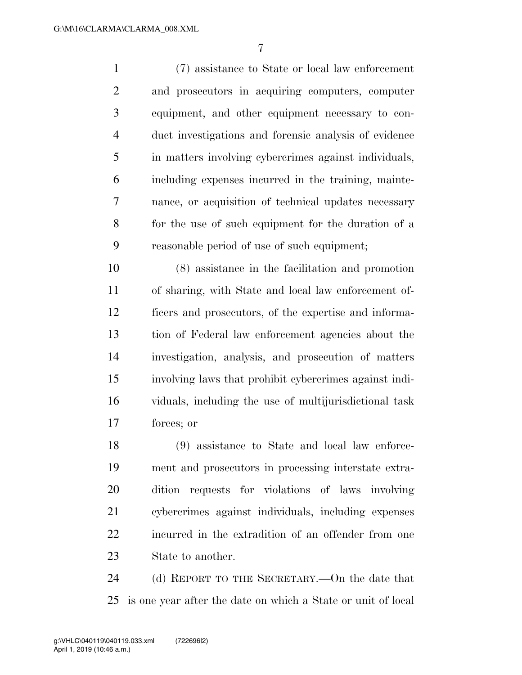(7) assistance to State or local law enforcement and prosecutors in acquiring computers, computer equipment, and other equipment necessary to con- duct investigations and forensic analysis of evidence in matters involving cybercrimes against individuals, including expenses incurred in the training, mainte- nance, or acquisition of technical updates necessary for the use of such equipment for the duration of a reasonable period of use of such equipment;

 (8) assistance in the facilitation and promotion of sharing, with State and local law enforcement of- ficers and prosecutors, of the expertise and informa- tion of Federal law enforcement agencies about the investigation, analysis, and prosecution of matters involving laws that prohibit cybercrimes against indi- viduals, including the use of multijurisdictional task forces; or

 (9) assistance to State and local law enforce- ment and prosecutors in processing interstate extra- dition requests for violations of laws involving cybercrimes against individuals, including expenses 22 incurred in the extradition of an offender from one State to another.

 (d) REPORT TO THE SECRETARY.—On the date that is one year after the date on which a State or unit of local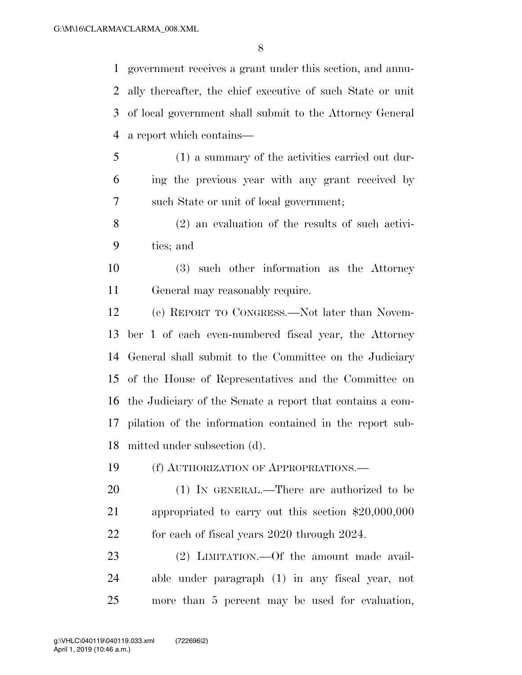government receives a grant under this section, and annu- ally thereafter, the chief executive of such State or unit of local government shall submit to the Attorney General a report which contains— (1) a summary of the activities carried out dur-

- ing the previous year with any grant received by such State or unit of local government;
- (2) an evaluation of the results of such activi-ties; and
- (3) such other information as the Attorney General may reasonably require.

 (e) REPORT TO CONGRESS.—Not later than Novem- ber 1 of each even-numbered fiscal year, the Attorney General shall submit to the Committee on the Judiciary of the House of Representatives and the Committee on the Judiciary of the Senate a report that contains a com- pilation of the information contained in the report sub-mitted under subsection (d).

(f) AUTHORIZATION OF APPROPRIATIONS.—

 (1) IN GENERAL.—There are authorized to be appropriated to carry out this section \$20,000,000 for each of fiscal years 2020 through 2024.

 (2) LIMITATION.—Of the amount made avail- able under paragraph (1) in any fiscal year, not more than 5 percent may be used for evaluation,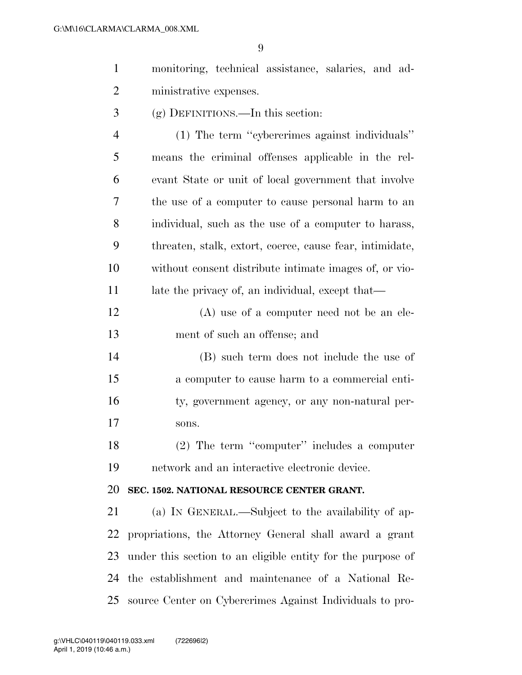| $\mathbf{1}$   | monitoring, technical assistance, salaries, and ad-      |
|----------------|----------------------------------------------------------|
| $\overline{2}$ | ministrative expenses.                                   |
| 3              | $(g)$ DEFINITIONS.—In this section:                      |
| $\overline{4}$ | (1) The term "cybercrimes against individuals"           |
| 5              | means the criminal offenses applicable in the rel-       |
| 6              | evant State or unit of local government that involve     |
| 7              | the use of a computer to cause personal harm to an       |
| 8              | individual, such as the use of a computer to harass,     |
| 9              | threaten, stalk, extort, coerce, cause fear, intimidate, |
| 10             | without consent distribute intimate images of, or vio-   |
| 11             | late the privacy of, an individual, except that—         |
| 12             | $(A)$ use of a computer need not be an ele-              |
| 13             | ment of such an offense; and                             |
| 14             | (B) such term does not include the use of                |
| 15             | a computer to cause harm to a commercial enti-           |
| 16             | ty, government agency, or any non-natural per-           |
| 17             | sons.                                                    |
| 18             | $(2)$ The term "computer" includes a computer            |
| 19             | network and an interactive electronic device.            |
| 20             | SEC. 1502. NATIONAL RESOURCE CENTER GRANT.               |
| 21             | (a) IN GENERAL.—Subject to the availability of ap-       |

 propriations, the Attorney General shall award a grant under this section to an eligible entity for the purpose of the establishment and maintenance of a National Re-source Center on Cybercrimes Against Individuals to pro-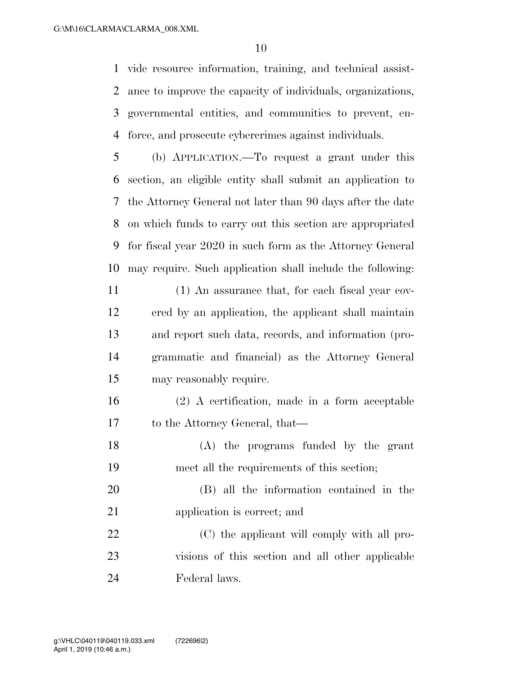vide resource information, training, and technical assist- ance to improve the capacity of individuals, organizations, governmental entities, and communities to prevent, en-force, and prosecute cybercrimes against individuals.

 (b) APPLICATION.—To request a grant under this section, an eligible entity shall submit an application to the Attorney General not later than 90 days after the date on which funds to carry out this section are appropriated for fiscal year 2020 in such form as the Attorney General may require. Such application shall include the following:

 (1) An assurance that, for each fiscal year cov- ered by an application, the applicant shall maintain and report such data, records, and information (pro- grammatic and financial) as the Attorney General may reasonably require.

 (2) A certification, made in a form acceptable to the Attorney General, that—

 (A) the programs funded by the grant meet all the requirements of this section;

 (B) all the information contained in the application is correct; and

22 (C) the applicant will comply with all pro- visions of this section and all other applicable Federal laws.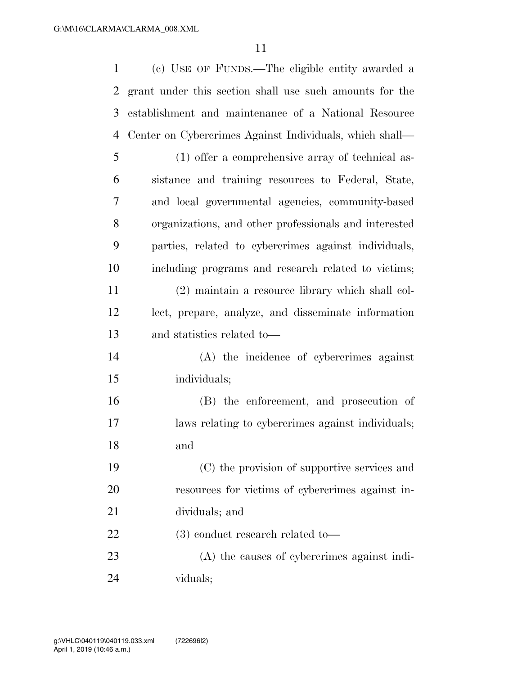| $\mathbf{1}$   | (c) USE OF FUNDS.—The eligible entity awarded a         |
|----------------|---------------------------------------------------------|
| $\overline{2}$ | grant under this section shall use such amounts for the |
| 3              | establishment and maintenance of a National Resource    |
| $\overline{4}$ | Center on Cybercrimes Against Individuals, which shall— |
| 5              | (1) offer a comprehensive array of technical as-        |
| 6              | sistance and training resources to Federal, State,      |
| 7              | and local governmental agencies, community-based        |
| 8              | organizations, and other professionals and interested   |
| 9              | parties, related to cybercrimes against individuals,    |
| 10             | including programs and research related to victims;     |
| 11             | (2) maintain a resource library which shall col-        |
| 12             | lect, prepare, analyze, and disseminate information     |
| 13             | and statistics related to—                              |
| 14             | (A) the incidence of cybercrimes against                |
| 15             | individuals;                                            |
| 16             | (B) the enforcement, and prosecution of                 |
| 17             | laws relating to cybercrimes against individuals;       |
| 18             | and                                                     |
| 19             | (C) the provision of supportive services and            |
| 20             | resources for victims of cybercrimes against in-        |
| 21             | dividuals; and                                          |
| 22             | $(3)$ conduct research related to-                      |
| 23             | (A) the causes of cybercrimes against indi-             |
|                |                                                         |

viduals;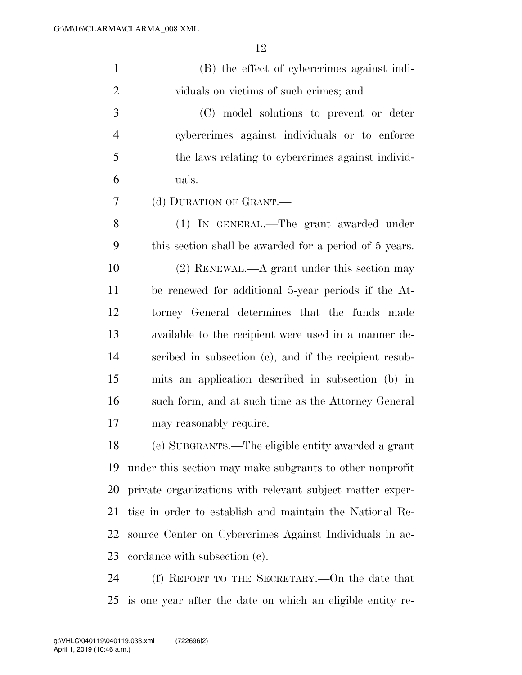| $\mathbf{1}$   | (B) the effect of cybercrimes against indi-                |
|----------------|------------------------------------------------------------|
| $\overline{2}$ | viduals on victims of such crimes; and                     |
| 3              | (C) model solutions to prevent or deter                    |
| $\overline{4}$ | cybercrimes against individuals or to enforce              |
| 5              | the laws relating to cybercrimes against individ-          |
| 6              | uals.                                                      |
| 7              | (d) DURATION OF GRANT.—                                    |
| 8              | (1) IN GENERAL.—The grant awarded under                    |
| 9              | this section shall be awarded for a period of 5 years.     |
| 10             | $(2)$ RENEWAL.—A grant under this section may              |
| 11             | be renewed for additional 5-year periods if the At-        |
| 12             | torney General determines that the funds made              |
| 13             | available to the recipient were used in a manner de-       |
| 14             | scribed in subsection (c), and if the recipient resub-     |
| 15             | mits an application described in subsection (b) in         |
| 16             | such form, and at such time as the Attorney General        |
| 17             | may reasonably require.                                    |
| 18             | (e) SUBGRANTS.—The eligible entity awarded a grant         |
| 19             | under this section may make subgrants to other nonprofit   |
| 20             | private organizations with relevant subject matter exper-  |
| 21             | tise in order to establish and maintain the National Re-   |
| 22             | source Center on Cybercrimes Against Individuals in ac-    |
| 23             | cordance with subsection (c).                              |
| 24             | (f) REPORT TO THE SECRETARY.—On the date that              |
| 25             | is one year after the date on which an eligible entity re- |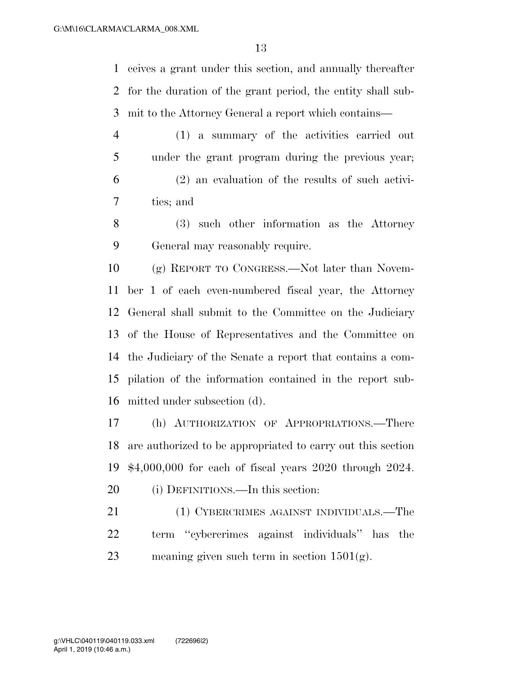ceives a grant under this section, and annually thereafter for the duration of the grant period, the entity shall sub-mit to the Attorney General a report which contains—

- (1) a summary of the activities carried out under the grant program during the previous year; (2) an evaluation of the results of such activi-ties; and
- (3) such other information as the Attorney General may reasonably require.

 (g) REPORT TO CONGRESS.—Not later than Novem- ber 1 of each even-numbered fiscal year, the Attorney General shall submit to the Committee on the Judiciary of the House of Representatives and the Committee on the Judiciary of the Senate a report that contains a com- pilation of the information contained in the report sub-mitted under subsection (d).

 (h) AUTHORIZATION OF APPROPRIATIONS.—There are authorized to be appropriated to carry out this section \$4,000,000 for each of fiscal years 2020 through 2024.

20 (i) DEFINITIONS.—In this section:

21 (1) CYBERCRIMES AGAINST INDIVIDUALS.—The term ''cybercrimes against individuals'' has the 23 meaning given such term in section  $1501(g)$ .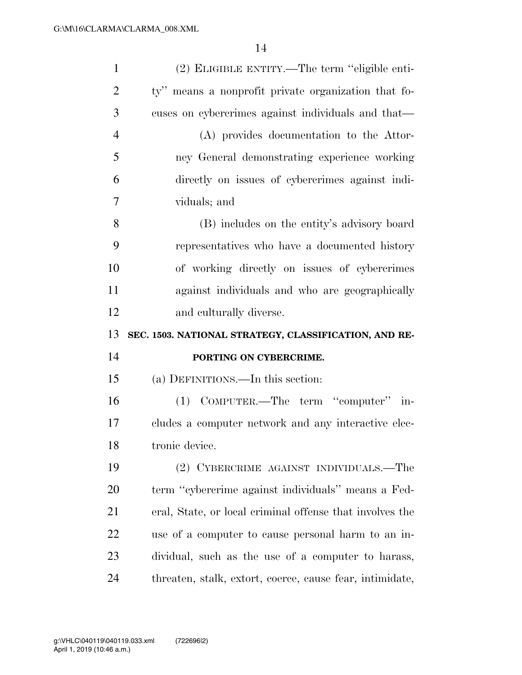| $\mathbf{1}$   | (2) ELIGIBLE ENTITY.—The term "eligible enti-            |
|----------------|----------------------------------------------------------|
| $\overline{2}$ | ty" means a nonprofit private organization that fo-      |
| 3              | cuses on cybercrimes against individuals and that—       |
| $\overline{4}$ | (A) provides documentation to the Attor-                 |
| 5              | ney General demonstrating experience working             |
| 6              | directly on issues of cybercrimes against indi-          |
| 7              | viduals; and                                             |
| 8              | (B) includes on the entity's advisory board              |
| 9              | representatives who have a documented history            |
| 10             | of working directly on issues of cybercrimes             |
| 11             | against individuals and who are geographically           |
| 12             | and culturally diverse.                                  |
|                |                                                          |
| 13             | SEC. 1503. NATIONAL STRATEGY, CLASSIFICATION, AND RE-    |
| 14             | PORTING ON CYBERCRIME.                                   |
| 15             | (a) DEFINITIONS.—In this section:                        |
| 16             | (1) COMPUTER.—The term "computer" in-                    |
| 17             | cludes a computer network and any interactive elec-      |
| 18             | tronic device.                                           |
| 19             | (2) CYBERCRIME AGAINST INDIVIDUALS.—The                  |
| 20             | term "cybercrime against individuals" means a Fed-       |
| 21             | eral, State, or local criminal offense that involves the |
| 22             | use of a computer to cause personal harm to an in-       |
| 23             | dividual, such as the use of a computer to harass,       |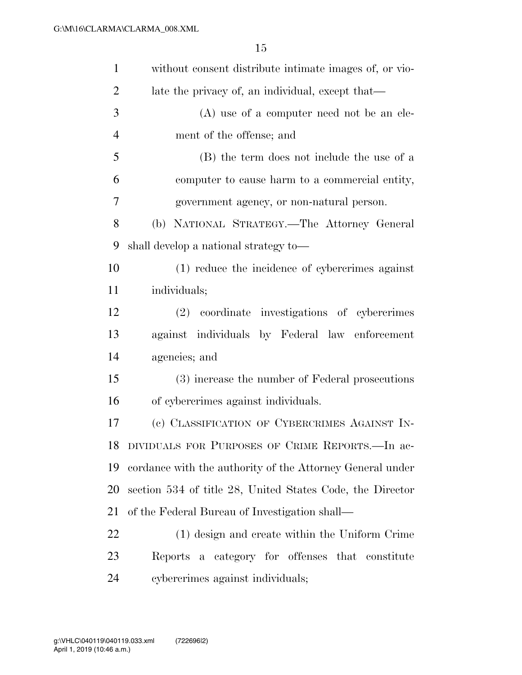| $\mathbf{1}$   | without consent distribute intimate images of, or vio-    |
|----------------|-----------------------------------------------------------|
| $\overline{2}$ | late the privacy of, an individual, except that—          |
| 3              | $(A)$ use of a computer need not be an ele-               |
| $\overline{4}$ | ment of the offense; and                                  |
| 5              | (B) the term does not include the use of a                |
| 6              | computer to cause harm to a commercial entity,            |
| 7              | government agency, or non-natural person.                 |
| 8              | (b) NATIONAL STRATEGY.—The Attorney General               |
| 9              | shall develop a national strategy to—                     |
| 10             | (1) reduce the incidence of cybercrimes against           |
| 11             | individuals;                                              |
| 12             | (2) coordinate investigations of cybercrimes              |
| 13             | against individuals by Federal law enforcement            |
| 14             | agencies; and                                             |
| 15             | (3) increase the number of Federal prosecutions           |
| 16             | of cybercrimes against individuals.                       |
| 17             | (c) CLASSIFICATION OF CYBERCRIMES AGAINST IN-             |
| 18             | DIVIDUALS FOR PURPOSES OF CRIME REPORTS.—In ac-           |
| 19             | cordance with the authority of the Attorney General under |
| 20             | section 534 of title 28, United States Code, the Director |
| 21             | of the Federal Bureau of Investigation shall—             |
| 22             | (1) design and create within the Uniform Crime            |
| 23             | Reports a category for offenses that constitute           |
| 24             | cybercrimes against individuals;                          |